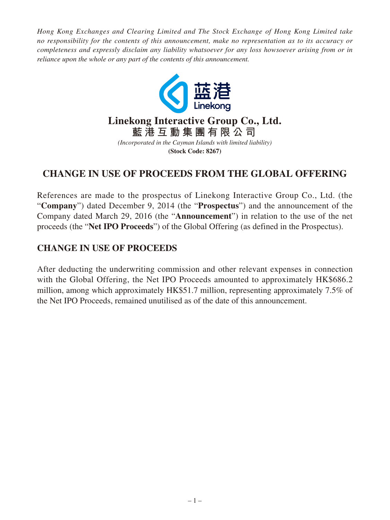*Hong Kong Exchanges and Clearing Limited and The Stock Exchange of Hong Kong Limited take no responsibility for the contents of this announcement, make no representation as to its accuracy or completeness and expressly disclaim any liability whatsoever for any loss howsoever arising from or in reliance upon the whole or any part of the contents of this announcement.*



## **CHANGE IN USE OF PROCEEDS FROM THE GLOBAL OFFERING**

References are made to the prospectus of Linekong Interactive Group Co., Ltd. (the "**Company**") dated December 9, 2014 (the "**Prospectus**") and the announcement of the Company dated March 29, 2016 (the "**Announcement**") in relation to the use of the net proceeds (the "**Net IPO Proceeds**") of the Global Offering (as defined in the Prospectus).

## **CHANGE IN USE OF PROCEEDS**

After deducting the underwriting commission and other relevant expenses in connection with the Global Offering, the Net IPO Proceeds amounted to approximately HK\$686.2 million, among which approximately HK\$51.7 million, representing approximately 7.5% of the Net IPO Proceeds, remained unutilised as of the date of this announcement.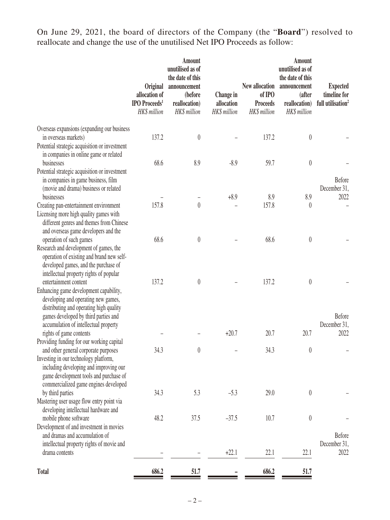On June 29, 2021, the board of directors of the Company (the "**Board**") resolved to reallocate and change the use of the unutilised Net IPO Proceeds as follow:

|                                                                                                                                                                                                            | <b>Original</b><br>allocation of<br><b>IPO</b> Proceeds <sup>1</sup><br>HK\$ million | <b>Amount</b><br>unutilised as of<br>the date of this<br>announcement<br>(before<br>reallocation)<br>HK\$ million | Change in<br>allocation<br>HK\$ million | New allocation<br>of IPO<br><b>Proceeds</b><br>HK\$ million | <b>Amount</b><br>unutilised as of<br>the date of this<br>announcement<br>(after<br>reallocation)<br>HK\$ million | <b>Expected</b><br>timeline for<br>full utilisation <sup>2</sup> |
|------------------------------------------------------------------------------------------------------------------------------------------------------------------------------------------------------------|--------------------------------------------------------------------------------------|-------------------------------------------------------------------------------------------------------------------|-----------------------------------------|-------------------------------------------------------------|------------------------------------------------------------------------------------------------------------------|------------------------------------------------------------------|
| Overseas expansions (expanding our business                                                                                                                                                                |                                                                                      |                                                                                                                   |                                         |                                                             |                                                                                                                  |                                                                  |
| in overseas markets)<br>Potential strategic acquisition or investment<br>in companies in online game or related                                                                                            | 137.2                                                                                | $\theta$                                                                                                          |                                         | 137.2                                                       | $\boldsymbol{0}$                                                                                                 |                                                                  |
| businesses                                                                                                                                                                                                 | 68.6                                                                                 | 8.9                                                                                                               | $-8.9$                                  | 59.7                                                        | $\boldsymbol{0}$                                                                                                 |                                                                  |
| Potential strategic acquisition or investment<br>in companies in game business, film<br>(movie and drama) business or related                                                                              |                                                                                      |                                                                                                                   |                                         |                                                             |                                                                                                                  | <b>Before</b><br>December 31,                                    |
| businesses                                                                                                                                                                                                 |                                                                                      | $\theta$                                                                                                          | $+8.9$                                  | 8.9                                                         | 8.9                                                                                                              | 2022                                                             |
| Creating pan-entertainment environment<br>Licensing more high quality games with<br>different genres and themes from Chinese<br>and overseas game developers and the                                       | 157.8                                                                                |                                                                                                                   |                                         | 157.8                                                       | $\theta$                                                                                                         |                                                                  |
| operation of such games<br>Research and development of games, the<br>operation of existing and brand new self-<br>developed games, and the purchase of<br>intellectual property rights of popular          | 68.6                                                                                 | $\theta$                                                                                                          |                                         | 68.6                                                        | $\boldsymbol{0}$                                                                                                 |                                                                  |
| entertainment content<br>Enhancing game development capability,<br>developing and operating new games,<br>distributing and operating high quality<br>games developed by third parties and                  | 137.2                                                                                | $\theta$                                                                                                          |                                         | 137.2                                                       | $\boldsymbol{0}$                                                                                                 | Before                                                           |
| accumulation of intellectual property                                                                                                                                                                      |                                                                                      |                                                                                                                   |                                         |                                                             |                                                                                                                  | December 31,                                                     |
| rights of game contents                                                                                                                                                                                    |                                                                                      |                                                                                                                   | $+20.7$                                 | 20.7                                                        | 20.7                                                                                                             | 2022                                                             |
| Providing funding for our working capital                                                                                                                                                                  |                                                                                      |                                                                                                                   |                                         |                                                             |                                                                                                                  |                                                                  |
| and other general corporate purposes<br>Investing in our technology platform,<br>including developing and improving our<br>game development tools and purchase of<br>commercialized game engines developed | 34.3                                                                                 |                                                                                                                   |                                         | 34.3                                                        | $\boldsymbol{0}$                                                                                                 |                                                                  |
| by third parties<br>Mastering user usage flow entry point via                                                                                                                                              | 34.3                                                                                 | 5.3                                                                                                               | $-5.3$                                  | 29.0                                                        | $\boldsymbol{0}$                                                                                                 |                                                                  |
| developing intellectual hardware and<br>mobile phone software<br>Development of and investment in movies                                                                                                   | 48.2                                                                                 | 37.5                                                                                                              | $-37.5$                                 | 10.7                                                        | $\boldsymbol{0}$                                                                                                 |                                                                  |
| and dramas and accumulation of<br>intellectual property rights of movie and<br>drama contents                                                                                                              |                                                                                      |                                                                                                                   | $+22.1$                                 | 22.1                                                        | 22.1                                                                                                             | Before<br>December 31,<br>2022                                   |
|                                                                                                                                                                                                            |                                                                                      |                                                                                                                   |                                         |                                                             |                                                                                                                  |                                                                  |
| <b>Total</b>                                                                                                                                                                                               | 686.2                                                                                | 51.7                                                                                                              |                                         | 686.2                                                       | 51.7                                                                                                             |                                                                  |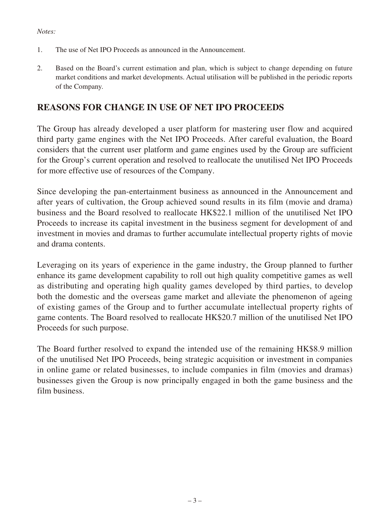## *Notes:*

- 1. The use of Net IPO Proceeds as announced in the Announcement.
- 2. Based on the Board's current estimation and plan, which is subject to change depending on future market conditions and market developments. Actual utilisation will be published in the periodic reports of the Company.

## **REASONS FOR CHANGE IN USE OF NET IPO PROCEEDS**

The Group has already developed a user platform for mastering user flow and acquired third party game engines with the Net IPO Proceeds. After careful evaluation, the Board considers that the current user platform and game engines used by the Group are sufficient for the Group's current operation and resolved to reallocate the unutilised Net IPO Proceeds for more effective use of resources of the Company.

Since developing the pan-entertainment business as announced in the Announcement and after years of cultivation, the Group achieved sound results in its film (movie and drama) business and the Board resolved to reallocate HK\$22.1 million of the unutilised Net IPO Proceeds to increase its capital investment in the business segment for development of and investment in movies and dramas to further accumulate intellectual property rights of movie and drama contents.

Leveraging on its years of experience in the game industry, the Group planned to further enhance its game development capability to roll out high quality competitive games as well as distributing and operating high quality games developed by third parties, to develop both the domestic and the overseas game market and alleviate the phenomenon of ageing of existing games of the Group and to further accumulate intellectual property rights of game contents. The Board resolved to reallocate HK\$20.7 million of the unutilised Net IPO Proceeds for such purpose.

The Board further resolved to expand the intended use of the remaining HK\$8.9 million of the unutilised Net IPO Proceeds, being strategic acquisition or investment in companies in online game or related businesses, to include companies in film (movies and dramas) businesses given the Group is now principally engaged in both the game business and the film business.